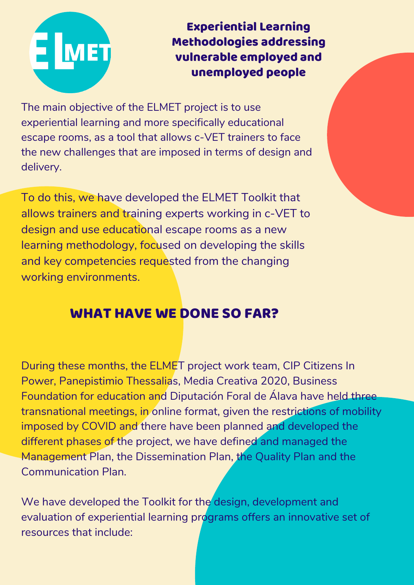

Experiential Learning Methodologies addressing vulnerable employed and unemployed people

The main objective of the ELMET project is to use experiential learning and more specifically educational escape rooms, as a tool that allows c-VET trainers to face the new challenges that are imposed in terms of design and delivery.

To do this, we have developed the ELMET Toolkit that allows trainers and training experts working in c-VET to design and use educational escape rooms as a new learning methodology, focused on developing the skills and key competencies requested from the changing working environments.

## WHAT HAVE WE DONE SO FAR?

During these months, the ELMET project work team, CIP Citizens In Power, Panepistimio Thessalias, Media Creativa 2020, Business Foundation for education and Diputación Foral de Álava have held three transnational meetings, in online format, given the restrictions of mobility imposed by COVID and there have been planned and developed the different phases of the project, we have defined and managed the Management Plan, the Dissemination Plan, the Quality Plan and the Communication Plan.

We have developed the Toolkit for the design, development and evaluation of experiential learning programs offers an innovative set of resources that include: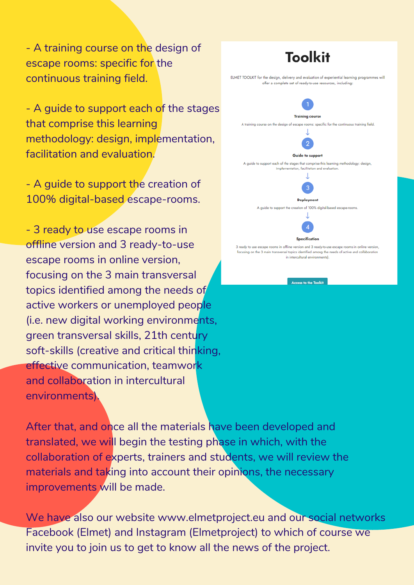- A training course on the design of escape rooms: specific for the continuous training field.

- A guide to support each of the stages that comprise this learning methodology: design, implementation, facilitation and evaluation.

- A guide to support the creation of 100% digital-based escape-rooms.

- 3 ready to use escape rooms in offline version and 3 ready-to-use escape rooms in online version, focusing on the 3 main transversal topics identified among the needs of active workers or unemployed people (i.e. new digital working environments, green transversal skills, 21th century soft-skills (creative and critical thinking, effective communication, teamwork and collaboration in intercultural environments).



We have also our website www.elmetproject.eu and our social networks Facebook (Elmet) and Instagram (Elmetproject) to which of course we invite you to join us to get to know all the news of the project.

## **Toolkit** ELMET TOOLKIT for the design, delivery and evaluation of experiential learning programmes will offer a complete set of ready-to-use resources, including:



**Access to the Toolkit**